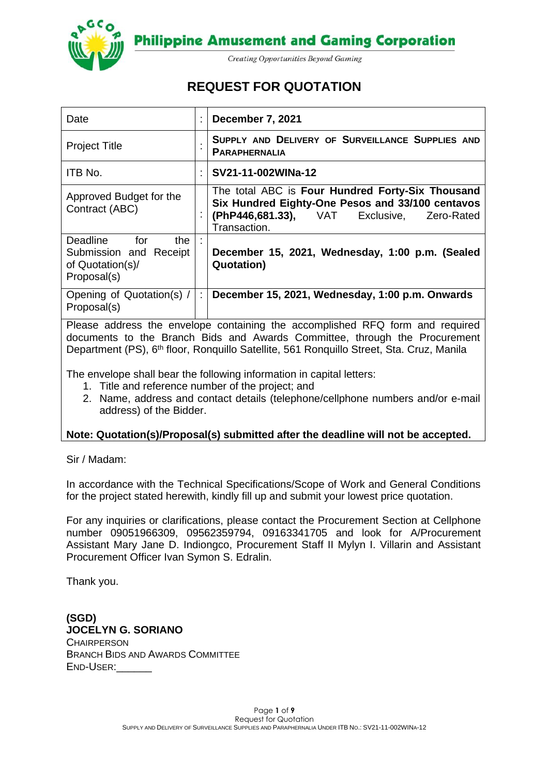

**Philippine Amusement and Gaming Corporation** 

**Creating Opportunities Beyond Gaming** 

# **REQUEST FOR QUOTATION**

| Date                                                                             |   | December 7, 2021                                                                                                                                                   |  |  |  |
|----------------------------------------------------------------------------------|---|--------------------------------------------------------------------------------------------------------------------------------------------------------------------|--|--|--|
| <b>Project Title</b>                                                             |   | SUPPLY AND DELIVERY OF SURVEILLANCE SUPPLIES AND<br><b>PARAPHERNALIA</b>                                                                                           |  |  |  |
| ITB No.                                                                          |   | SV21-11-002WINa-12                                                                                                                                                 |  |  |  |
| Approved Budget for the<br>Contract (ABC)                                        |   | The total ABC is Four Hundred Forty-Six Thousand<br>Six Hundred Eighty-One Pesos and 33/100 centavos<br>(PhP446,681.33), VAT Exclusive, Zero-Rated<br>Transaction. |  |  |  |
| Deadline for<br>the<br>Submission and Receipt<br>of Quotation(s)/<br>Proposal(s) |   | December 15, 2021, Wednesday, 1:00 p.m. (Sealed<br><b>Quotation</b> )                                                                                              |  |  |  |
| Opening of Quotation(s) /<br>Proposal(s)                                         | ÷ | December 15, 2021, Wednesday, 1:00 p.m. Onwards                                                                                                                    |  |  |  |

Please address the envelope containing the accomplished RFQ form and required documents to the Branch Bids and Awards Committee, through the Procurement Department (PS), 6<sup>th</sup> floor, Ronquillo Satellite, 561 Ronquillo Street, Sta. Cruz, Manila

The envelope shall bear the following information in capital letters:

- 1. Title and reference number of the project; and
- 2. Name, address and contact details (telephone/cellphone numbers and/or e-mail address) of the Bidder.

#### **Note: Quotation(s)/Proposal(s) submitted after the deadline will not be accepted.**

Sir / Madam:

In accordance with the Technical Specifications/Scope of Work and General Conditions for the project stated herewith, kindly fill up and submit your lowest price quotation.

For any inquiries or clarifications, please contact the Procurement Section at Cellphone number 09051966309, 09562359794, 09163341705 and look for A/Procurement Assistant Mary Jane D. Indiongco, Procurement Staff II Mylyn I. Villarin and Assistant Procurement Officer Ivan Symon S. Edralin.

Thank you.

**(SGD) JOCELYN G. SORIANO CHAIRPERSON** BRANCH BIDS AND AWARDS COMMITTEE END-USER:\_\_\_\_\_\_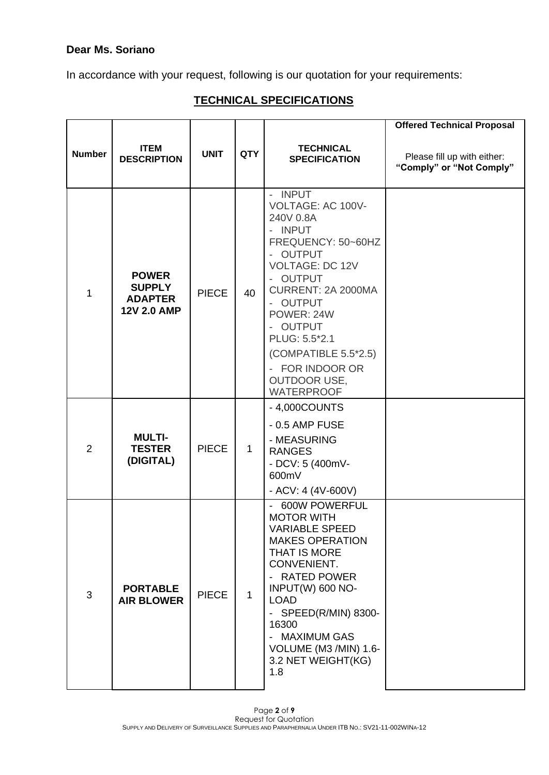## **Dear Ms. Soriano**

In accordance with your request, following is our quotation for your requirements:

## **TECHNICAL SPECIFICATIONS**

|                |                                                                       |              |              |                                                                                                                                                                                                                                                                                                                                                        | <b>Offered Technical Proposal</b>                       |
|----------------|-----------------------------------------------------------------------|--------------|--------------|--------------------------------------------------------------------------------------------------------------------------------------------------------------------------------------------------------------------------------------------------------------------------------------------------------------------------------------------------------|---------------------------------------------------------|
| <b>Number</b>  | <b>ITEM</b><br><b>DESCRIPTION</b>                                     | <b>UNIT</b>  | <b>QTY</b>   | <b>TECHNICAL</b><br><b>SPECIFICATION</b>                                                                                                                                                                                                                                                                                                               | Please fill up with either:<br>"Comply" or "Not Comply" |
| 1              | <b>POWER</b><br><b>SUPPLY</b><br><b>ADAPTER</b><br><b>12V 2.0 AMP</b> | <b>PIECE</b> | 40           | - INPUT<br>VOLTAGE: AC 100V-<br>240V 0.8A<br><b>INPUT</b><br>$\overline{\phantom{a}}$<br>FREQUENCY: 50~60HZ<br><b>OUTPUT</b><br>L,<br><b>VOLTAGE: DC 12V</b><br><b>OUTPUT</b><br>CURRENT: 2A 2000MA<br>- OUTPUT<br>POWER: 24W<br><b>OUTPUT</b><br>PLUG: 5.5*2.1<br>(COMPATIBLE 5.5*2.5)<br>- FOR INDOOR OR<br><b>OUTDOOR USE,</b><br><b>WATERPROOF</b> |                                                         |
| $\overline{2}$ | <b>MULTI-</b><br><b>TESTER</b><br>(DIGITAL)                           | <b>PIECE</b> | $\mathbf{1}$ | - 4,000COUNTS<br>$-0.5$ AMP FUSE<br>- MEASURING<br><b>RANGES</b><br>- DCV: 5 (400mV-<br>600mV<br>- ACV: 4 (4V-600V)                                                                                                                                                                                                                                    |                                                         |
| 3              | <b>PORTABLE</b><br><b>AIR BLOWER</b>                                  | <b>PIECE</b> | $\mathbf{1}$ | 600W POWERFUL<br>$\overline{\phantom{a}}$<br><b>MOTOR WITH</b><br><b>VARIABLE SPEED</b><br><b>MAKES OPERATION</b><br>THAT IS MORE<br>CONVENIENT.<br><b>RATED POWER</b><br>INPUT(W) 600 NO-<br><b>LOAD</b><br>SPEED(R/MIN) 8300-<br>$\blacksquare$<br>16300<br><b>MAXIMUM GAS</b><br>VOLUME (M3 /MIN) 1.6-<br>3.2 NET WEIGHT(KG)<br>1.8                 |                                                         |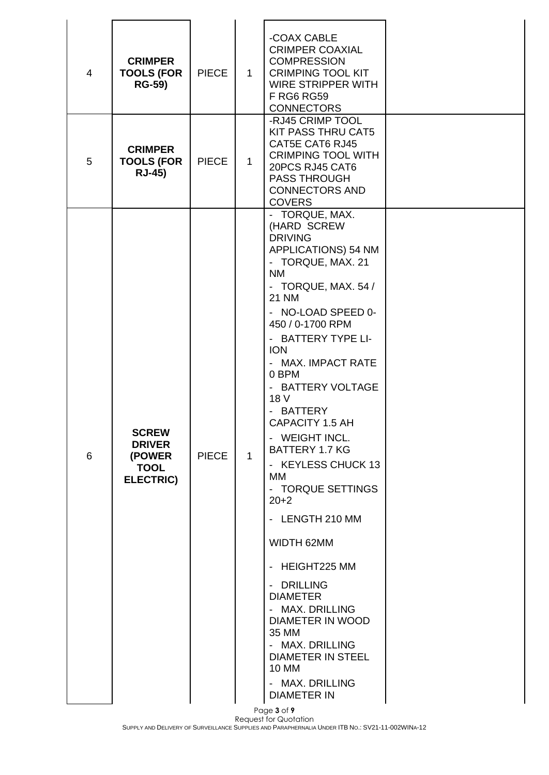| 4 | <b>CRIMPER</b><br><b>TOOLS (FOR</b><br><b>RG-59)</b>                       | <b>PIECE</b> | $\mathbf{1}$ | -COAX CABLE<br><b>CRIMPER COAXIAL</b><br><b>COMPRESSION</b><br><b>CRIMPING TOOL KIT</b><br><b>WIRE STRIPPER WITH</b><br><b>F RG6 RG59</b><br><b>CONNECTORS</b><br>-RJ45 CRIMP TOOL                                                                                                                                                                                                                                                                                                                                                                                                                                                                                                                         |  |
|---|----------------------------------------------------------------------------|--------------|--------------|------------------------------------------------------------------------------------------------------------------------------------------------------------------------------------------------------------------------------------------------------------------------------------------------------------------------------------------------------------------------------------------------------------------------------------------------------------------------------------------------------------------------------------------------------------------------------------------------------------------------------------------------------------------------------------------------------------|--|
| 5 | <b>CRIMPER</b><br><b>TOOLS (FOR</b><br><b>RJ-45)</b>                       | <b>PIECE</b> | $\mathbf 1$  | <b>KIT PASS THRU CAT5</b><br>CAT5E CAT6 RJ45<br><b>CRIMPING TOOL WITH</b><br>20PCS RJ45 CAT6<br><b>PASS THROUGH</b><br><b>CONNECTORS AND</b><br><b>COVERS</b>                                                                                                                                                                                                                                                                                                                                                                                                                                                                                                                                              |  |
| 6 | <b>SCREW</b><br><b>DRIVER</b><br>(POWER<br><b>TOOL</b><br><b>ELECTRIC)</b> | <b>PIECE</b> | $\mathbf{1}$ | - TORQUE, MAX.<br>(HARD SCREW<br><b>DRIVING</b><br>APPLICATIONS) 54 NM<br>- TORQUE, MAX. 21<br><b>NM</b><br>- TORQUE, MAX. 54 /<br><b>21 NM</b><br>- NO-LOAD SPEED 0-<br>450 / 0-1700 RPM<br>- BATTERY TYPE LI-<br><b>ION</b><br>- MAX. IMPACT RATE<br>0 BPM<br>- BATTERY VOLTAGE<br>18 V<br>- BATTERY<br><b>CAPACITY 1.5 AH</b><br>- WEIGHT INCL.<br><b>BATTERY 1.7 KG</b><br>- KEYLESS CHUCK 13<br>МM<br>- TORQUE SETTINGS<br>$20 + 2$<br>- LENGTH 210 MM<br>WIDTH 62MM<br>- HEIGHT225 MM<br>- DRILLING<br><b>DIAMETER</b><br>- MAX. DRILLING<br><b>DIAMETER IN WOOD</b><br>35 MM<br>- MAX. DRILLING<br><b>DIAMETER IN STEEL</b><br><b>10 MM</b><br>- MAX. DRILLING<br><b>DIAMETER IN</b><br>Page 3 of 9 |  |

Request for Quotation SUPPLY AND DELIVERY OF SURVEILLANCE SUPPLIES AND PARAPHERNALIA UNDER ITB NO.: SV21-11-002WINA-12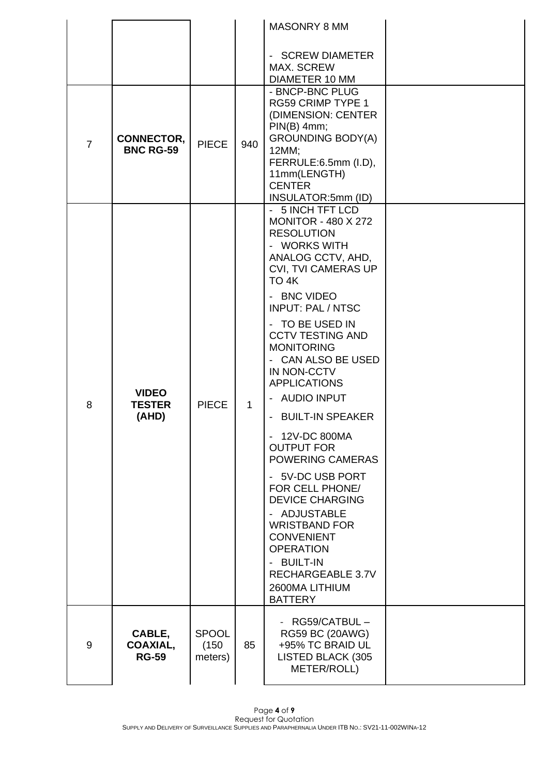|                |                                        |                                  |              | MASONRY 8 MM                                                                                                                                                                                                                                                                                                                                                                                                                                                                                                                                                                                                                                                                 |  |
|----------------|----------------------------------------|----------------------------------|--------------|------------------------------------------------------------------------------------------------------------------------------------------------------------------------------------------------------------------------------------------------------------------------------------------------------------------------------------------------------------------------------------------------------------------------------------------------------------------------------------------------------------------------------------------------------------------------------------------------------------------------------------------------------------------------------|--|
|                |                                        |                                  |              | - SCREW DIAMETER<br><b>MAX. SCREW</b><br>DIAMETER 10 MM                                                                                                                                                                                                                                                                                                                                                                                                                                                                                                                                                                                                                      |  |
| $\overline{7}$ | <b>CONNECTOR,</b><br><b>BNC RG-59</b>  | <b>PIECE</b>                     | 940          | - BNCP-BNC PLUG<br><b>RG59 CRIMP TYPE 1</b><br>(DIMENSION: CENTER<br>$PIN(B)$ 4mm;<br><b>GROUNDING BODY(A)</b><br>12MM;<br>FERRULE:6.5mm (I.D),<br>11mm(LENGTH)<br><b>CENTER</b><br>INSULATOR:5mm (ID)                                                                                                                                                                                                                                                                                                                                                                                                                                                                       |  |
| 8              | <b>VIDEO</b><br><b>TESTER</b><br>(AHD) | <b>PIECE</b>                     | $\mathbf{1}$ | - 5 INCH TFT LCD<br><b>MONITOR - 480 X 272</b><br><b>RESOLUTION</b><br>- WORKS WITH<br>ANALOG CCTV, AHD,<br><b>CVI, TVI CAMERAS UP</b><br>TO 4K<br>- BNC VIDEO<br><b>INPUT: PAL / NTSC</b><br>- TO BE USED IN<br><b>CCTV TESTING AND</b><br><b>MONITORING</b><br>CAN ALSO BE USED<br>IN NON-CCTV<br><b>APPLICATIONS</b><br>- AUDIO INPUT<br>- BUILT-IN SPEAKER<br>12V-DC 800MA<br>$\overline{\phantom{0}}$<br><b>OUTPUT FOR</b><br>POWERING CAMERAS<br>- 5V-DC USB PORT<br>FOR CELL PHONE/<br><b>DEVICE CHARGING</b><br>- ADJUSTABLE<br><b>WRISTBAND FOR</b><br><b>CONVENIENT</b><br><b>OPERATION</b><br>- BUILT-IN<br>RECHARGEABLE 3.7V<br>2600MA LITHIUM<br><b>BATTERY</b> |  |
| 9              | CABLE,<br>COAXIAL,<br><b>RG-59</b>     | <b>SPOOL</b><br>(150)<br>meters) | 85           | RG59/CATBUL-<br>RG59 BC (20AWG)<br>+95% TC BRAID UL<br>LISTED BLACK (305<br>METER/ROLL)                                                                                                                                                                                                                                                                                                                                                                                                                                                                                                                                                                                      |  |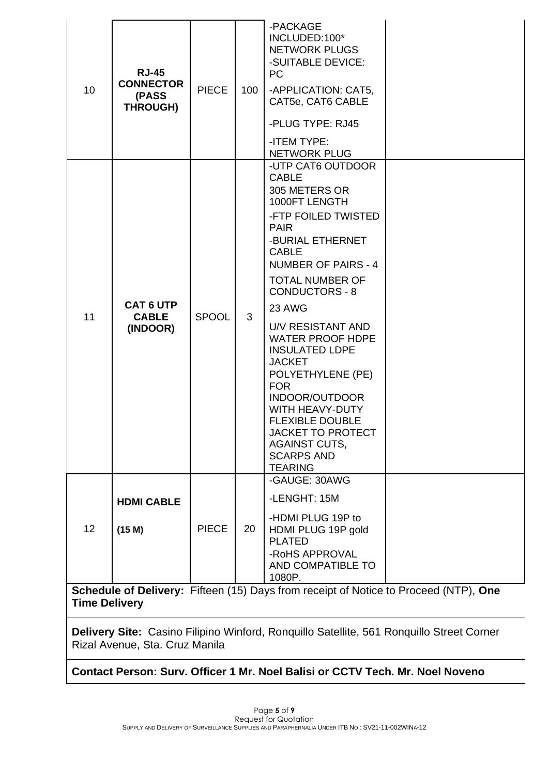| 10                                                                                                           | <b>RJ-45</b><br><b>CONNECTOR</b><br>(PASS<br><b>THROUGH)</b> | <b>PIECE</b> | 100 | -PACKAGE<br>INCLUDED:100*<br><b>NETWORK PLUGS</b><br>-SUITABLE DEVICE:<br><b>PC</b><br>-APPLICATION: CAT5,<br>CAT5e, CAT6 CABLE<br>-PLUG TYPE: RJ45<br>-ITEM TYPE:<br><b>NETWORK PLUG</b>                                                                                                                                                                                                                                                                                                                                       |  |
|--------------------------------------------------------------------------------------------------------------|--------------------------------------------------------------|--------------|-----|---------------------------------------------------------------------------------------------------------------------------------------------------------------------------------------------------------------------------------------------------------------------------------------------------------------------------------------------------------------------------------------------------------------------------------------------------------------------------------------------------------------------------------|--|
| 11                                                                                                           | <b>CAT 6 UTP</b><br><b>CABLE</b><br>(INDOOR)                 | <b>SPOOL</b> | 3   | -UTP CAT6 OUTDOOR<br><b>CABLE</b><br>305 METERS OR<br>1000FT LENGTH<br>-FTP FOILED TWISTED<br><b>PAIR</b><br>-BURIAL ETHERNET<br><b>CABLE</b><br><b>NUMBER OF PAIRS - 4</b><br><b>TOTAL NUMBER OF</b><br><b>CONDUCTORS - 8</b><br>23 AWG<br>U/V RESISTANT AND<br><b>WATER PROOF HDPE</b><br><b>INSULATED LDPE</b><br><b>JACKET</b><br>POLYETHYLENE (PE)<br><b>FOR</b><br>INDOOR/OUTDOOR<br>WITH HEAVY-DUTY<br><b>FLEXIBLE DOUBLE</b><br><b>JACKET TO PROTECT</b><br><b>AGAINST CUTS,</b><br><b>SCARPS AND</b><br><b>TEARING</b> |  |
| 12                                                                                                           | <b>HDMI CABLE</b><br>(15 M)                                  | <b>PIECE</b> | 20  | -GAUGE: 30AWG<br>-LENGHT: 15M<br>-HDMI PLUG 19P to<br>HDMI PLUG 19P gold<br><b>PLATED</b><br>-RoHS APPROVAL<br>AND COMPATIBLE TO<br>1080P.                                                                                                                                                                                                                                                                                                                                                                                      |  |
| Schedule of Delivery: Fifteen (15) Days from receipt of Notice to Proceed (NTP), One<br><b>Time Delivery</b> |                                                              |              |     |                                                                                                                                                                                                                                                                                                                                                                                                                                                                                                                                 |  |

**Delivery Site:** Casino Filipino Winford, Ronquillo Satellite, 561 Ronquillo Street Corner Rizal Avenue, Sta. Cruz Manila

**Contact Person: Surv. Officer 1 Mr. Noel Balisi or CCTV Tech. Mr. Noel Noveno**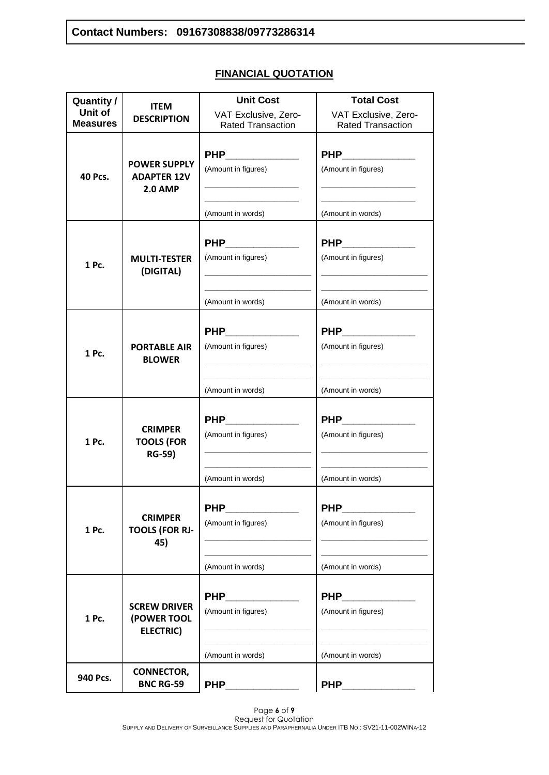## **FINANCIAL QUOTATION**

| <b>Quantity /</b>          | <b>ITEM</b>                                                 | <b>Unit Cost</b>                                                                                                                                                                                                                                          | <b>Total Cost</b>                                                                               |
|----------------------------|-------------------------------------------------------------|-----------------------------------------------------------------------------------------------------------------------------------------------------------------------------------------------------------------------------------------------------------|-------------------------------------------------------------------------------------------------|
| Unit of<br><b>Measures</b> | <b>DESCRIPTION</b>                                          | VAT Exclusive, Zero-<br><b>Rated Transaction</b>                                                                                                                                                                                                          | VAT Exclusive, Zero-<br><b>Rated Transaction</b>                                                |
|                            |                                                             | PHP __________                                                                                                                                                                                                                                            | PHP ________                                                                                    |
| <b>40 Pcs.</b>             | <b>POWER SUPPLY</b><br><b>ADAPTER 12V</b><br><b>2.0 AMP</b> | (Amount in figures)                                                                                                                                                                                                                                       | (Amount in figures)                                                                             |
|                            |                                                             | <u> 1980 - Johann John Harry Harry Harry Harry Harry Harry Harry Harry Harry Harry Harry Harry Harry Harry Harry Harry Harry Harry Harry Harry Harry Harry Harry Harry Harry Harry Harry Harry Harry Harry Harry Harry Harry Har</u><br>(Amount in words) | the control of the control of the control of the control of the control of<br>(Amount in words) |
|                            |                                                             |                                                                                                                                                                                                                                                           | PHP____________                                                                                 |
| 1 Pc.                      | <b>MULTI-TESTER</b><br>(DIGITAL)                            | (Amount in figures)                                                                                                                                                                                                                                       | (Amount in figures)                                                                             |
|                            |                                                             | (Amount in words)                                                                                                                                                                                                                                         | (Amount in words)                                                                               |
|                            |                                                             |                                                                                                                                                                                                                                                           | PHP _________                                                                                   |
| 1 Pc.                      | <b>PORTABLE AIR</b><br><b>BLOWER</b>                        | (Amount in figures)                                                                                                                                                                                                                                       | (Amount in figures)                                                                             |
|                            |                                                             | (Amount in words)                                                                                                                                                                                                                                         | (Amount in words)                                                                               |
|                            |                                                             |                                                                                                                                                                                                                                                           | PHP _________                                                                                   |
| 1 Pc.                      | <b>CRIMPER</b><br><b>TOOLS (FOR</b><br><b>RG-59)</b>        | (Amount in figures)                                                                                                                                                                                                                                       | (Amount in figures)                                                                             |
|                            |                                                             | (Amount in words)                                                                                                                                                                                                                                         | (Amount in words)                                                                               |
|                            |                                                             | <b>PHP</b>                                                                                                                                                                                                                                                | <b>PHP</b>                                                                                      |
| 1 Pc.                      | <b>CRIMPER</b><br><b>TOOLS (FOR RJ-</b><br>45)              | (Amount in figures)                                                                                                                                                                                                                                       | (Amount in figures)                                                                             |
|                            |                                                             | (Amount in words)                                                                                                                                                                                                                                         | (Amount in words)                                                                               |
|                            |                                                             |                                                                                                                                                                                                                                                           |                                                                                                 |
|                            | <b>SCREW DRIVER</b>                                         | <b>PHP</b>                                                                                                                                                                                                                                                | <b>PHP</b>                                                                                      |
| 1 Pc.                      | (POWER TOOL<br><b>ELECTRIC)</b>                             | (Amount in figures)                                                                                                                                                                                                                                       | (Amount in figures)                                                                             |
|                            |                                                             | (Amount in words)                                                                                                                                                                                                                                         | (Amount in words)                                                                               |
| 940 Pcs.                   | <b>CONNECTOR,</b><br><b>BNC RG-59</b>                       | <b>PHP</b>                                                                                                                                                                                                                                                | <b>PHP</b>                                                                                      |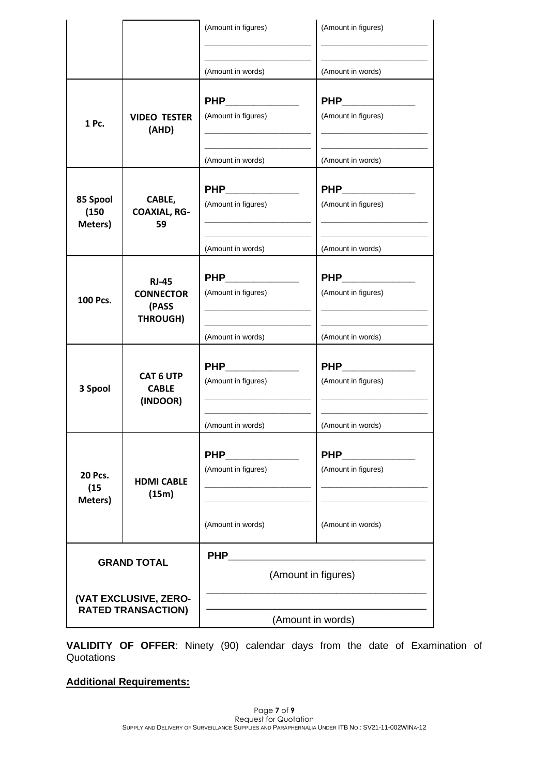|                                                         |                                                              | (Amount in figures)                   | (Amount in figures)                    |  |
|---------------------------------------------------------|--------------------------------------------------------------|---------------------------------------|----------------------------------------|--|
|                                                         |                                                              | (Amount in words)                     | (Amount in words)                      |  |
| 1 Pc.                                                   | <b>VIDEO TESTER</b><br>(AHD)                                 | PHP _________<br>(Amount in figures)  | PHP____________<br>(Amount in figures) |  |
|                                                         |                                                              | (Amount in words)                     | (Amount in words)                      |  |
| 85 Spool<br>(150)<br>Meters)                            | CABLE,<br><b>COAXIAL, RG-</b><br>59                          | PHP _________<br>(Amount in figures)  | PHP____________<br>(Amount in figures) |  |
|                                                         |                                                              | (Amount in words)                     | (Amount in words)                      |  |
| 100 Pcs.                                                | <b>RJ-45</b><br><b>CONNECTOR</b><br>(PASS<br><b>THROUGH)</b> | PHP __________<br>(Amount in figures) | PHP __________<br>(Amount in figures)  |  |
|                                                         |                                                              | (Amount in words)                     | (Amount in words)                      |  |
| <b>CAT 6 UTP</b><br>3 Spool<br><b>CABLE</b><br>(INDOOR) |                                                              | PHP __________<br>(Amount in figures) | PHP____________<br>(Amount in figures) |  |
|                                                         |                                                              | (Amount in words)                     | (Amount in words)                      |  |
| <b>20 Pcs.</b><br>(15)<br>Meters)                       | <b>HDMI CABLE</b><br>(15m)                                   | <b>PHP</b><br>(Amount in figures)     | <b>PHP</b><br>(Amount in figures)      |  |
|                                                         |                                                              | (Amount in words)                     | (Amount in words)                      |  |
| <b>GRAND TOTAL</b>                                      |                                                              | <b>PHP</b><br>(Amount in figures)     |                                        |  |
| (VAT EXCLUSIVE, ZERO-<br><b>RATED TRANSACTION)</b>      |                                                              | (Amount in words)                     |                                        |  |

**VALIDITY OF OFFER**: Ninety (90) calendar days from the date of Examination of **Quotations** 

## **Additional Requirements:**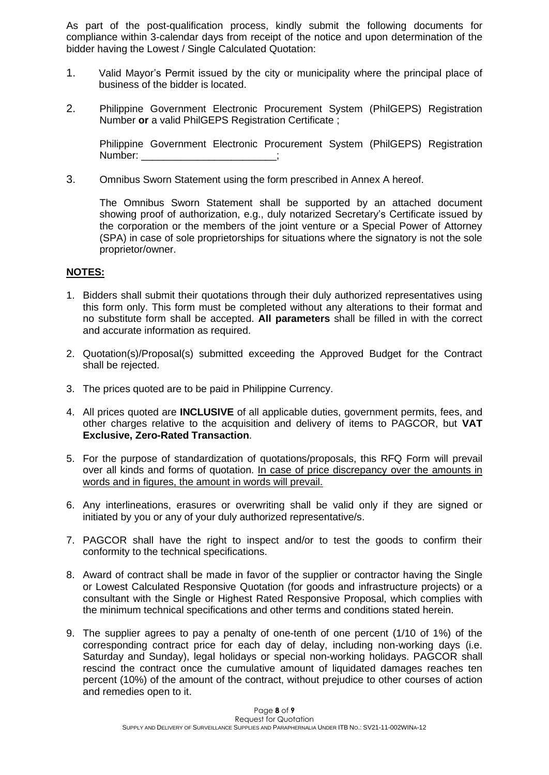As part of the post-qualification process, kindly submit the following documents for compliance within 3-calendar days from receipt of the notice and upon determination of the bidder having the Lowest / Single Calculated Quotation:

- 1. Valid Mayor's Permit issued by the city or municipality where the principal place of business of the bidder is located.
- 2. Philippine Government Electronic Procurement System (PhilGEPS) Registration Number **or** a valid PhilGEPS Registration Certificate ;

Philippine Government Electronic Procurement System (PhilGEPS) Registration Number:

3. Omnibus Sworn Statement using the form prescribed in Annex A hereof.

The Omnibus Sworn Statement shall be supported by an attached document showing proof of authorization, e.g., duly notarized Secretary's Certificate issued by the corporation or the members of the joint venture or a Special Power of Attorney (SPA) in case of sole proprietorships for situations where the signatory is not the sole proprietor/owner.

#### **NOTES:**

- 1. Bidders shall submit their quotations through their duly authorized representatives using this form only. This form must be completed without any alterations to their format and no substitute form shall be accepted. **All parameters** shall be filled in with the correct and accurate information as required.
- 2. Quotation(s)/Proposal(s) submitted exceeding the Approved Budget for the Contract shall be rejected.
- 3. The prices quoted are to be paid in Philippine Currency.
- 4. All prices quoted are **INCLUSIVE** of all applicable duties, government permits, fees, and other charges relative to the acquisition and delivery of items to PAGCOR, but **VAT Exclusive, Zero-Rated Transaction**.
- 5. For the purpose of standardization of quotations/proposals, this RFQ Form will prevail over all kinds and forms of quotation. In case of price discrepancy over the amounts in words and in figures, the amount in words will prevail.
- 6. Any interlineations, erasures or overwriting shall be valid only if they are signed or initiated by you or any of your duly authorized representative/s.
- 7. PAGCOR shall have the right to inspect and/or to test the goods to confirm their conformity to the technical specifications.
- 8. Award of contract shall be made in favor of the supplier or contractor having the Single or Lowest Calculated Responsive Quotation (for goods and infrastructure projects) or a consultant with the Single or Highest Rated Responsive Proposal, which complies with the minimum technical specifications and other terms and conditions stated herein.
- 9. The supplier agrees to pay a penalty of one-tenth of one percent (1/10 of 1%) of the corresponding contract price for each day of delay, including non-working days (i.e. Saturday and Sunday), legal holidays or special non-working holidays. PAGCOR shall rescind the contract once the cumulative amount of liquidated damages reaches ten percent (10%) of the amount of the contract, without prejudice to other courses of action and remedies open to it.